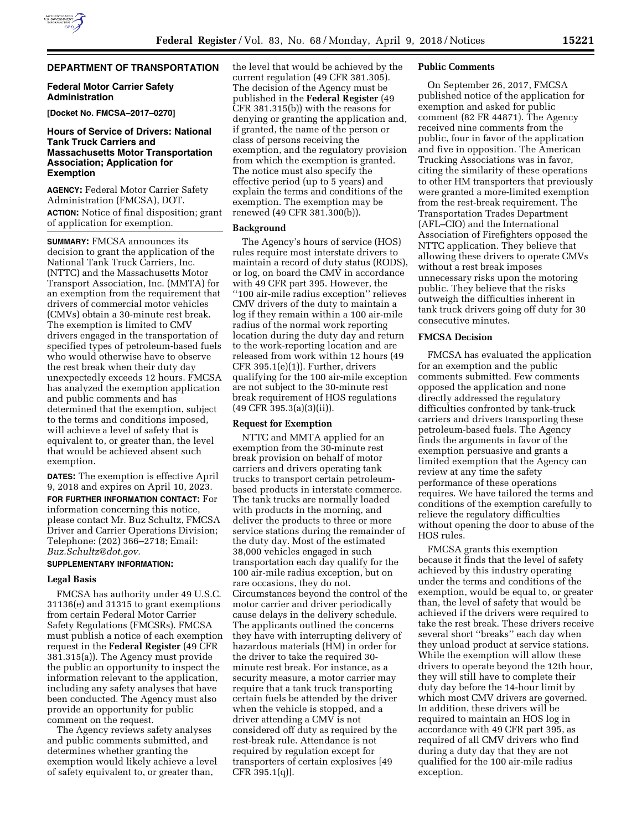# **DEPARTMENT OF TRANSPORTATION**

### **Federal Motor Carrier Safety Administration**

**[Docket No. FMCSA–2017–0270]** 

## **Hours of Service of Drivers: National Tank Truck Carriers and Massachusetts Motor Transportation Association; Application for Exemption**

**AGENCY:** Federal Motor Carrier Safety Administration (FMCSA), DOT. **ACTION:** Notice of final disposition; grant of application for exemption.

**SUMMARY:** FMCSA announces its decision to grant the application of the National Tank Truck Carriers, Inc. (NTTC) and the Massachusetts Motor Transport Association, Inc. (MMTA) for an exemption from the requirement that drivers of commercial motor vehicles (CMVs) obtain a 30-minute rest break. The exemption is limited to CMV drivers engaged in the transportation of specified types of petroleum-based fuels who would otherwise have to observe the rest break when their duty day unexpectedly exceeds 12 hours. FMCSA has analyzed the exemption application and public comments and has determined that the exemption, subject to the terms and conditions imposed, will achieve a level of safety that is equivalent to, or greater than, the level that would be achieved absent such exemption.

**DATES:** The exemption is effective April 9, 2018 and expires on April 10, 2023.

**FOR FURTHER INFORMATION CONTACT:** For information concerning this notice, please contact Mr. Buz Schultz, FMCSA Driver and Carrier Operations Division; Telephone: (202) 366–2718; Email: *[Buz.Schultz@dot.gov.](mailto:Buz.Schultz@dot.gov)* 

## **SUPPLEMENTARY INFORMATION:**

### **Legal Basis**

FMCSA has authority under 49 U.S.C. 31136(e) and 31315 to grant exemptions from certain Federal Motor Carrier Safety Regulations (FMCSRs). FMCSA must publish a notice of each exemption request in the **Federal Register** (49 CFR 381.315(a)). The Agency must provide the public an opportunity to inspect the information relevant to the application, including any safety analyses that have been conducted. The Agency must also provide an opportunity for public comment on the request.

The Agency reviews safety analyses and public comments submitted, and determines whether granting the exemption would likely achieve a level of safety equivalent to, or greater than,

the level that would be achieved by the current regulation (49 CFR 381.305). The decision of the Agency must be published in the **Federal Register** (49 CFR 381.315(b)) with the reasons for denying or granting the application and, if granted, the name of the person or class of persons receiving the exemption, and the regulatory provision from which the exemption is granted. The notice must also specify the effective period (up to 5 years) and explain the terms and conditions of the exemption. The exemption may be renewed (49 CFR 381.300(b)).

#### **Background**

The Agency's hours of service (HOS) rules require most interstate drivers to maintain a record of duty status (RODS), or log, on board the CMV in accordance with 49 CFR part 395. However, the ''100 air-mile radius exception'' relieves CMV drivers of the duty to maintain a log if they remain within a 100 air-mile radius of the normal work reporting location during the duty day and return to the work-reporting location and are released from work within 12 hours (49 CFR 395.1(e)(1)). Further, drivers qualifying for the 100 air-mile exception are not subject to the 30-minute rest break requirement of HOS regulations (49 CFR 395.3(a)(3)(ii)).

### **Request for Exemption**

NTTC and MMTA applied for an exemption from the 30-minute rest break provision on behalf of motor carriers and drivers operating tank trucks to transport certain petroleumbased products in interstate commerce. The tank trucks are normally loaded with products in the morning, and deliver the products to three or more service stations during the remainder of the duty day. Most of the estimated 38,000 vehicles engaged in such transportation each day qualify for the 100 air-mile radius exception, but on rare occasions, they do not. Circumstances beyond the control of the motor carrier and driver periodically cause delays in the delivery schedule. The applicants outlined the concerns they have with interrupting delivery of hazardous materials (HM) in order for the driver to take the required 30 minute rest break. For instance, as a security measure, a motor carrier may require that a tank truck transporting certain fuels be attended by the driver when the vehicle is stopped, and a driver attending a CMV is not considered off duty as required by the rest-break rule. Attendance is not required by regulation except for transporters of certain explosives [49 CFR 395.1(q)].

#### **Public Comments**

On September 26, 2017, FMCSA published notice of the application for exemption and asked for public comment (82 FR 44871). The Agency received nine comments from the public, four in favor of the application and five in opposition. The American Trucking Associations was in favor, citing the similarity of these operations to other HM transporters that previously were granted a more-limited exemption from the rest-break requirement. The Transportation Trades Department (AFL–CIO) and the International Association of Firefighters opposed the NTTC application. They believe that allowing these drivers to operate CMVs without a rest break imposes unnecessary risks upon the motoring public. They believe that the risks outweigh the difficulties inherent in tank truck drivers going off duty for 30 consecutive minutes.

#### **FMCSA Decision**

FMCSA has evaluated the application for an exemption and the public comments submitted. Few comments opposed the application and none directly addressed the regulatory difficulties confronted by tank-truck carriers and drivers transporting these petroleum-based fuels. The Agency finds the arguments in favor of the exemption persuasive and grants a limited exemption that the Agency can review at any time the safety performance of these operations requires. We have tailored the terms and conditions of the exemption carefully to relieve the regulatory difficulties without opening the door to abuse of the HOS rules.

FMCSA grants this exemption because it finds that the level of safety achieved by this industry operating under the terms and conditions of the exemption, would be equal to, or greater than, the level of safety that would be achieved if the drivers were required to take the rest break. These drivers receive several short ''breaks'' each day when they unload product at service stations. While the exemption will allow these drivers to operate beyond the 12th hour, they will still have to complete their duty day before the 14-hour limit by which most CMV drivers are governed. In addition, these drivers will be required to maintain an HOS log in accordance with 49 CFR part 395, as required of all CMV drivers who find during a duty day that they are not qualified for the 100 air-mile radius exception.